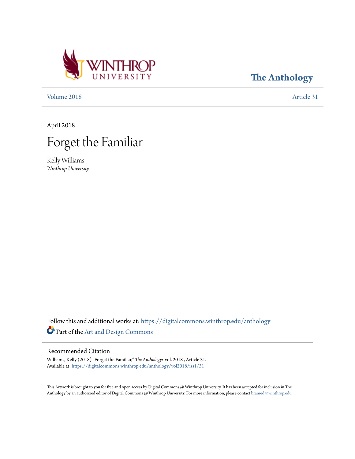

**[The Anthology](https://digitalcommons.winthrop.edu/anthology?utm_source=digitalcommons.winthrop.edu%2Fanthology%2Fvol2018%2Fiss1%2F31&utm_medium=PDF&utm_campaign=PDFCoverPages)**

[Volume 2018](https://digitalcommons.winthrop.edu/anthology/vol2018?utm_source=digitalcommons.winthrop.edu%2Fanthology%2Fvol2018%2Fiss1%2F31&utm_medium=PDF&utm_campaign=PDFCoverPages) [Article 31](https://digitalcommons.winthrop.edu/anthology/vol2018/iss1/31?utm_source=digitalcommons.winthrop.edu%2Fanthology%2Fvol2018%2Fiss1%2F31&utm_medium=PDF&utm_campaign=PDFCoverPages)

April 2018



Kelly Williams *Winthrop University*

Follow this and additional works at: [https://digitalcommons.winthrop.edu/anthology](https://digitalcommons.winthrop.edu/anthology?utm_source=digitalcommons.winthrop.edu%2Fanthology%2Fvol2018%2Fiss1%2F31&utm_medium=PDF&utm_campaign=PDFCoverPages) Part of the [Art and Design Commons](http://network.bepress.com/hgg/discipline/1049?utm_source=digitalcommons.winthrop.edu%2Fanthology%2Fvol2018%2Fiss1%2F31&utm_medium=PDF&utm_campaign=PDFCoverPages)

## Recommended Citation

Williams, Kelly (2018) "Forget the Familiar," *The Anthology*: Vol. 2018 , Article 31. Available at: [https://digitalcommons.winthrop.edu/anthology/vol2018/iss1/31](https://digitalcommons.winthrop.edu/anthology/vol2018/iss1/31?utm_source=digitalcommons.winthrop.edu%2Fanthology%2Fvol2018%2Fiss1%2F31&utm_medium=PDF&utm_campaign=PDFCoverPages)

This Artwork is brought to you for free and open access by Digital Commons @ Winthrop University. It has been accepted for inclusion in The Anthology by an authorized editor of Digital Commons @ Winthrop University. For more information, please contact [bramed@winthrop.edu](mailto:bramed@winthrop.edu).